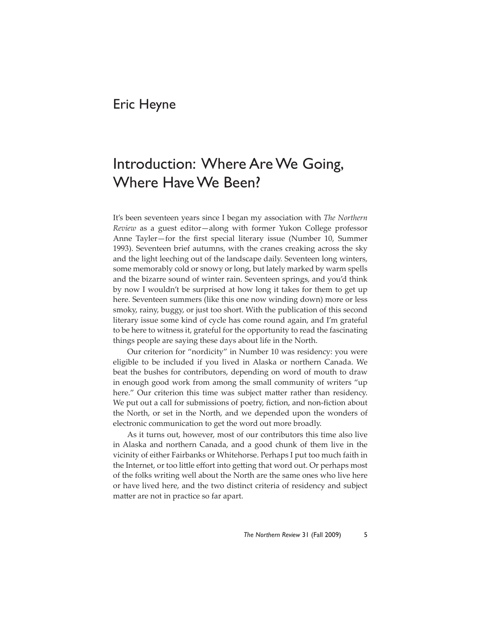## Eric Heyne

## Introduction: Where Are We Going, Where Have We Been?

It's been seventeen years since I began my association with *The Northern Review* as a guest editor—along with former Yukon College professor Anne Tayler-for the first special literary issue (Number 10, Summer 1993). Seventeen brief autumns, with the cranes creaking across the sky and the light leeching out of the landscape daily. Seventeen long winters, some memorably cold or snowy or long, but lately marked by warm spells and the bizarre sound of winter rain. Seventeen springs, and you'd think by now I wouldn't be surprised at how long it takes for them to get up here. Seventeen summers (like this one now winding down) more or less smoky, rainy, buggy, or just too short. With the publication of this second literary issue some kind of cycle has come round again, and I'm grateful to be here to witness it, grateful for the opportunity to read the fascinating things people are saying these days about life in the North.

Our criterion for "nordicity" in Number 10 was residency: you were eligible to be included if you lived in Alaska or northern Canada. We beat the bushes for contributors, depending on word of mouth to draw in enough good work from among the small community of writers "up here." Our criterion this time was subject matter rather than residency. We put out a call for submissions of poetry, fiction, and non-fiction about the North, or set in the North, and we depended upon the wonders of electronic communication to get the word out more broadly.

As it turns out, however, most of our contributors this time also live in Alaska and northern Canada, and a good chunk of them live in the vicinity of either Fairbanks or Whitehorse. Perhaps I put too much faith in the Internet, or too little effort into getting that word out. Or perhaps most of the folks writing well about the North are the same ones who live here or have lived here, and the two distinct criteria of residency and subject matter are not in practice so far apart.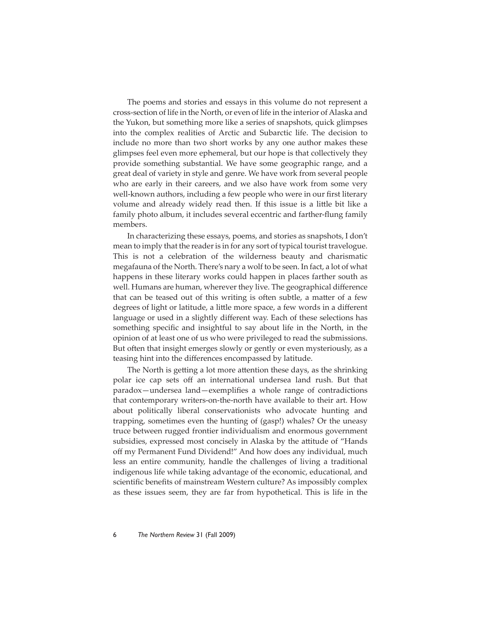The poems and stories and essays in this volume do not represent a cross-section of life in the North, or even of life in the interior of Alaska and the Yukon, but something more like a series of snapshots, quick glimpses into the complex realities of Arctic and Subarctic life. The decision to include no more than two short works by any one author makes these glimpses feel even more ephemeral, but our hope is that collectively they provide something substantial. We have some geographic range, and a great deal of variety in style and genre. We have work from several people who are early in their careers, and we also have work from some very well-known authors, including a few people who were in our first literary volume and already widely read then. If this issue is a little bit like a family photo album, it includes several eccentric and farther-flung family members.

In characterizing these essays, poems, and stories as snapshots, I don't mean to imply that the reader is in for any sort of typical tourist travelogue. This is not a celebration of the wilderness beauty and charismatic megafauna of the North. There's nary a wolf to be seen. In fact, a lot of what happens in these literary works could happen in places farther south as well. Humans are human, wherever they live. The geographical difference that can be teased out of this writing is often subtle, a matter of a few degrees of light or latitude, a little more space, a few words in a different language or used in a slightly different way. Each of these selections has something specific and insightful to say about life in the North, in the opinion of at least one of us who were privileged to read the submissions. But often that insight emerges slowly or gently or even mysteriously, as a teasing hint into the differences encompassed by latitude.

The North is getting a lot more attention these days, as the shrinking polar ice cap sets off an international undersea land rush. But that paradox—undersea land—exemplifies a whole range of contradictions that contemporary writers-on-the-north have available to their art. How about politically liberal conservationists who advocate hunting and trapping, sometimes even the hunting of (gasp!) whales? Or the uneasy truce between rugged frontier individualism and enormous government subsidies, expressed most concisely in Alaska by the attitude of "Hands" off my Permanent Fund Dividend!" And how does any individual, much less an entire community, handle the challenges of living a traditional indigenous life while taking advantage of the economic, educational, and scientific benefits of mainstream Western culture? As impossibly complex as these issues seem, they are far from hypothetical. This is life in the